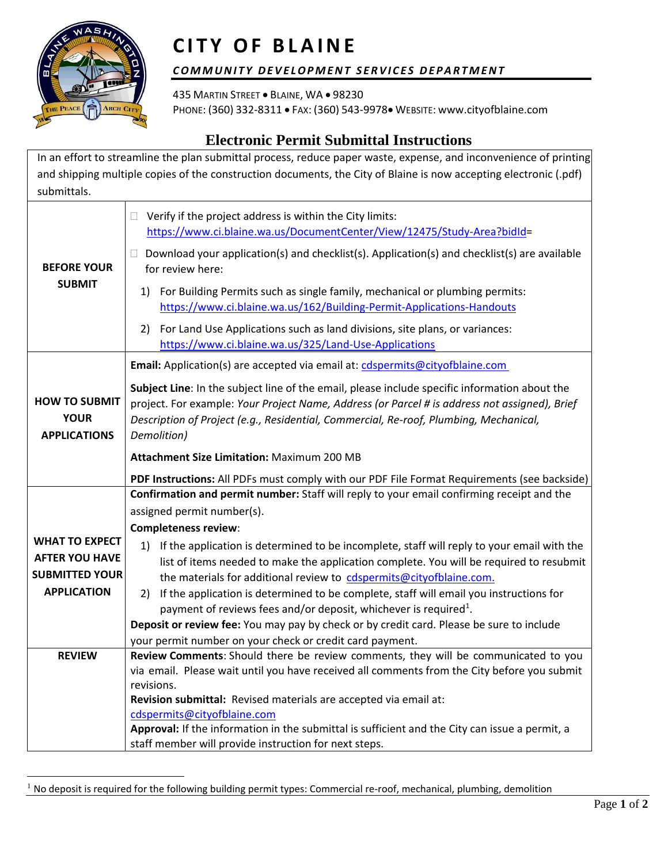

## **CITY OF BLAINE**

## COMMUNITY DEVELOPMENT SERVICES DEPARTMENT

435 MARTIN STREET . BLAINE, WA . 98230 PHONE: (360) 332-8311 FAX: (360) 543-9978 WEBSITE: www.cityofblaine.com

## **Electronic Permit Submittal Instructions**

In an effort to streamline the plan submittal process, reduce paper waste, expense, and inconvenience of printing and shipping multiple copies of the construction documents, the City of Blaine is now accepting electronic (.pdf) submittals.

| <b>BEFORE YOUR</b><br><b>SUBMIT</b>                        | Verify if the project address is within the City limits:<br>$\Box$<br>https://www.ci.blaine.wa.us/DocumentCenter/View/12475/Study-Area?bidId=<br>Download your application(s) and checklist(s). Application(s) and checklist(s) are available<br>$\Box$<br>for review here:<br>For Building Permits such as single family, mechanical or plumbing permits:<br>1)<br>https://www.ci.blaine.wa.us/162/Building-Permit-Applications-Handouts<br>For Land Use Applications such as land divisions, site plans, or variances:<br>2) |
|------------------------------------------------------------|--------------------------------------------------------------------------------------------------------------------------------------------------------------------------------------------------------------------------------------------------------------------------------------------------------------------------------------------------------------------------------------------------------------------------------------------------------------------------------------------------------------------------------|
|                                                            | https://www.ci.blaine.wa.us/325/Land-Use-Applications<br>Email: Application(s) are accepted via email at: cdspermits@cityofblaine.com                                                                                                                                                                                                                                                                                                                                                                                          |
| <b>HOW TO SUBMIT</b><br><b>YOUR</b><br><b>APPLICATIONS</b> | Subject Line: In the subject line of the email, please include specific information about the<br>project. For example: Your Project Name, Address (or Parcel # is address not assigned), Brief<br>Description of Project (e.g., Residential, Commercial, Re-roof, Plumbing, Mechanical,<br>Demolition)                                                                                                                                                                                                                         |
|                                                            | <b>Attachment Size Limitation: Maximum 200 MB</b>                                                                                                                                                                                                                                                                                                                                                                                                                                                                              |
|                                                            | PDF Instructions: All PDFs must comply with our PDF File Format Requirements (see backside)                                                                                                                                                                                                                                                                                                                                                                                                                                    |
|                                                            | Confirmation and permit number: Staff will reply to your email confirming receipt and the                                                                                                                                                                                                                                                                                                                                                                                                                                      |
|                                                            | assigned permit number(s).                                                                                                                                                                                                                                                                                                                                                                                                                                                                                                     |
|                                                            | <b>Completeness review:</b>                                                                                                                                                                                                                                                                                                                                                                                                                                                                                                    |
| <b>WHAT TO EXPECT</b>                                      | If the application is determined to be incomplete, staff will reply to your email with the<br>1)                                                                                                                                                                                                                                                                                                                                                                                                                               |
| <b>AFTER YOU HAVE</b>                                      | list of items needed to make the application complete. You will be required to resubmit                                                                                                                                                                                                                                                                                                                                                                                                                                        |
| <b>SUBMITTED YOUR</b>                                      | the materials for additional review to cdspermits@cityofblaine.com.                                                                                                                                                                                                                                                                                                                                                                                                                                                            |
| <b>APPLICATION</b>                                         | If the application is determined to be complete, staff will email you instructions for<br>2)                                                                                                                                                                                                                                                                                                                                                                                                                                   |
|                                                            | payment of reviews fees and/or deposit, whichever is required <sup>1</sup> .                                                                                                                                                                                                                                                                                                                                                                                                                                                   |
|                                                            | Deposit or review fee: You may pay by check or by credit card. Please be sure to include<br>your permit number on your check or credit card payment.                                                                                                                                                                                                                                                                                                                                                                           |
| <b>REVIEW</b>                                              | Review Comments: Should there be review comments, they will be communicated to you                                                                                                                                                                                                                                                                                                                                                                                                                                             |
|                                                            | via email. Please wait until you have received all comments from the City before you submit                                                                                                                                                                                                                                                                                                                                                                                                                                    |
|                                                            | revisions.                                                                                                                                                                                                                                                                                                                                                                                                                                                                                                                     |
|                                                            | Revision submittal: Revised materials are accepted via email at:                                                                                                                                                                                                                                                                                                                                                                                                                                                               |
|                                                            | cdspermits@cityofblaine.com                                                                                                                                                                                                                                                                                                                                                                                                                                                                                                    |
|                                                            | Approval: If the information in the submittal is sufficient and the City can issue a permit, a                                                                                                                                                                                                                                                                                                                                                                                                                                 |
|                                                            | staff member will provide instruction for next steps.                                                                                                                                                                                                                                                                                                                                                                                                                                                                          |

<sup>&</sup>lt;sup>1</sup> No deposit is required for the following building permit types: Commercial re-roof, mechanical, plumbing, demolition